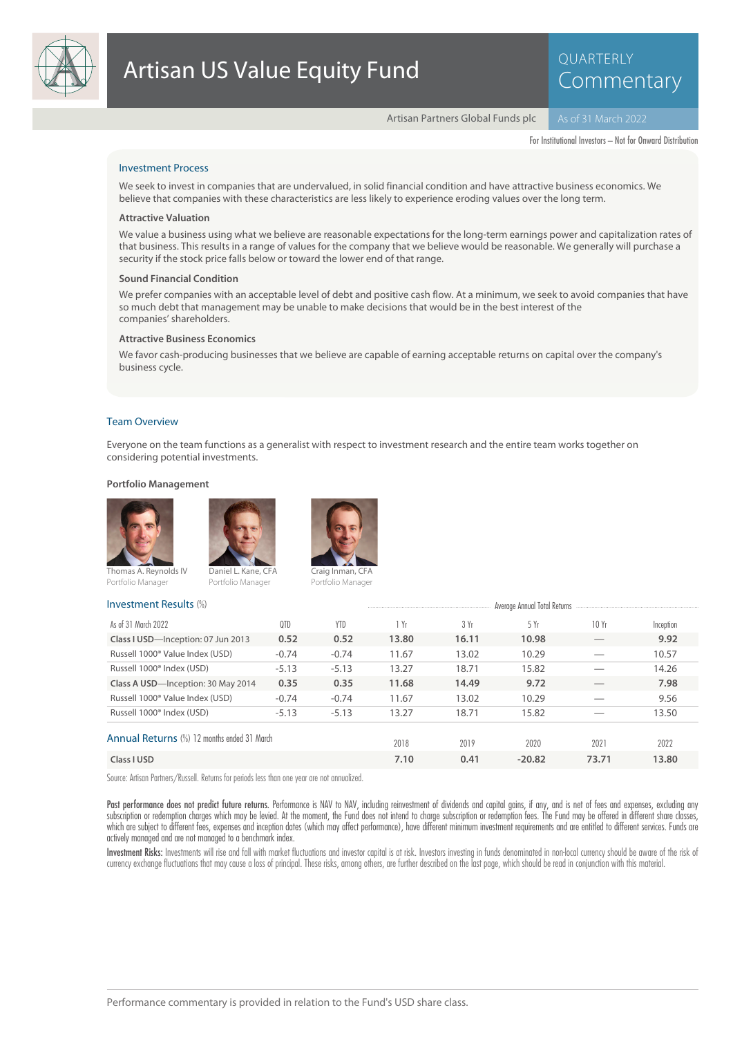

# QUARTERLY **Commentary**

Artisan Partners Global Funds plc

For Institutional Investors – Not for Onward Distribution

# Investment Process

We seek to invest in companies that are undervalued, in solid financial condition and have attractive business economics. We believe that companies with these characteristics are less likely to experience eroding values over the long term.

#### **Attractive Valuation**

We value a business using what we believe are reasonable expectations for the long-term earnings power and capitalization rates of that business. This results in a range of values for the company that we believe would be reasonable. We generally will purchase a security if the stock price falls below or toward the lower end of that range.

#### **Sound Financial Condition**

We prefer companies with an acceptable level of debt and positive cash flow. At a minimum, we seek to avoid companies that have so much debt that management may be unable to make decisions that would be in the best interest of the companies' shareholders.

#### **Attractive Business Economics**

We favor cash-producing businesses that we believe are capable of earning acceptable returns on capital over the company's business cycle.

#### Team Overview

Everyone on the team functions as a generalist with respect to investment research and the entire team works together on considering potential investments.

# **Portfolio Management**







Investment Results (%)

Thomas A. Reynolds IV Portfolio Manager

Portfolio Manager

| $1.1.7$ counter it is a counter that        |         |         |       |       | <b>HAGING MILLONI LOIN VALIDITIES</b> |       |           |
|---------------------------------------------|---------|---------|-------|-------|---------------------------------------|-------|-----------|
| As of 31 March 2022                         | 0TD     | YTD     | 1 Yr  | 3 Yr  | 5 Yr                                  | 10Yr  | Inception |
| Class I USD-Inception: 07 Jun 2013          | 0.52    | 0.52    | 13.80 | 16.11 | 10.98                                 |       | 9.92      |
| Russell 1000 <sup>®</sup> Value Index (USD) | $-0.74$ | $-0.74$ | 11.67 | 13.02 | 10.29                                 |       | 10.57     |
| Russell 1000 <sup>®</sup> Index (USD)       | $-5.13$ | $-5.13$ | 13.27 | 18.71 | 15.82                                 |       | 14.26     |
| Class A USD-Inception: 30 May 2014          | 0.35    | 0.35    | 11.68 | 14.49 | 9.72                                  |       | 7.98      |
| Russell 1000 <sup>®</sup> Value Index (USD) | $-0.74$ | $-0.74$ | 11.67 | 13.02 | 10.29                                 |       | 9.56      |
| Russell 1000 <sup>®</sup> Index (USD)       | $-5.13$ | $-5.13$ | 13.27 | 18.71 | 15.82                                 |       | 13.50     |
| Annual Returns (%) 12 months ended 31 March |         |         |       |       |                                       |       |           |
|                                             |         |         | 2018  | 2019  | 2020                                  | 2021  | 2022      |
| Class I USD                                 |         |         | 7.10  | 0.41  | $-20.82$                              | 73.71 | 13.80     |

Source: Artisan Partners/Russell. Returns for periods less than one year are not annualized.

Past performance does not predict future returns. Performance is NAV to NAV, including reinvestment of dividends and capital gains, if any, and is net of fees and expenses, excluding any subscription or redemption charges which may be levied. At the moment, the Fund does not intend to charge subscription or redemption fees. The Fund may be offered in different share classes, which are subject to different fees, expenses and inception dates (which may affect performance), have different minimum investment requirements and are entitled to different services. Funds are actively managed and are not managed to a benchmark index.

Investment Risks: Investments will rise and fall with market fluctuations and investor capital is at risk. Investors investing in funds denominated in non-local currency should be aware of the risk of currency exchange fluctuations that may cause a loss of principal. These risks, among others, are further described on the last page, which should be read in conjunction with this material.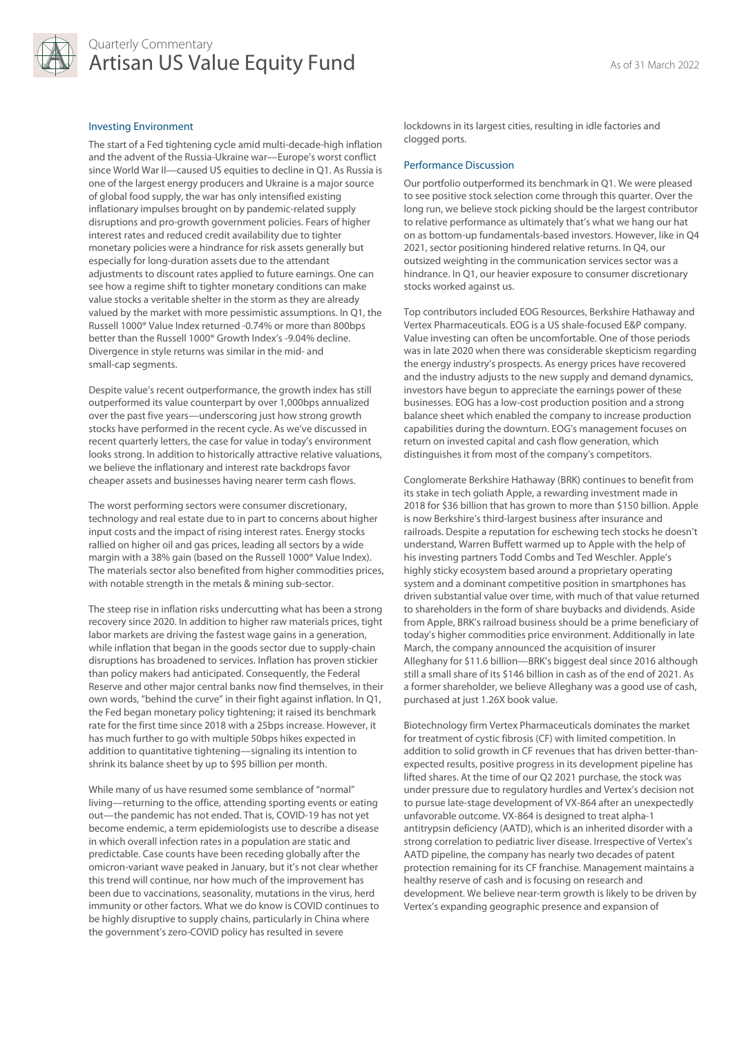

# Quarterly Commentary Artisan US Value Equity Fund<br>As of 31 March 2022

# Investing Environment

The start of a Fed tightening cycle amid multi-decade-high inflation and the advent of the Russia-Ukraine war—Europe's worst conflict since World War II—caused US equities to decline in Q1. As Russia is one of the largest energy producers and Ukraine is a major source of global food supply, the war has only intensified existing inflationary impulses brought on by pandemic-related supply disruptions and pro-growth government policies. Fears of higher interest rates and reduced credit availability due to tighter monetary policies were a hindrance for risk assets generally but especially for long-duration assets due to the attendant adjustments to discount rates applied to future earnings. One can see how a regime shift to tighter monetary conditions can make value stocks a veritable shelter in the storm as they are already valued by the market with more pessimistic assumptions. In Q1, the Russell 1000® Value Index returned -0.74% or more than 800bps better than the Russell 1000® Growth Index's -9.04% decline. Divergence in style returns was similar in the mid- and small-cap segments.

Despite value's recent outperformance, the growth index has still outperformed its value counterpart by over 1,000bps annualized over the past five years—underscoring just how strong growth stocks have performed in the recent cycle. As we've discussed in recent quarterly letters, the case for value in today's environment looks strong. In addition to historically attractive relative valuations, we believe the inflationary and interest rate backdrops favor cheaper assets and businesses having nearer term cash flows.

The worst performing sectors were consumer discretionary, technology and real estate due to in part to concerns about higher input costs and the impact of rising interest rates. Energy stocks rallied on higher oil and gas prices, leading all sectors by a wide margin with a 38% gain (based on the Russell 1000® Value Index). The materials sector also benefited from higher commodities prices, with notable strength in the metals & mining sub-sector.

The steep rise in inflation risks undercutting what has been a strong recovery since 2020. In addition to higher raw materials prices, tight labor markets are driving the fastest wage gains in a generation, while inflation that began in the goods sector due to supply-chain disruptions has broadened to services. Inflation has proven stickier than policy makers had anticipated. Consequently, the Federal Reserve and other major central banks now find themselves, in their own words, "behind the curve" in their fight against inflation. In Q1, the Fed began monetary policy tightening; it raised its benchmark rate for the first time since 2018 with a 25bps increase. However, it has much further to go with multiple 50bps hikes expected in addition to quantitative tightening—signaling its intention to shrink its balance sheet by up to \$95 billion per month.

While many of us have resumed some semblance of "normal" living—returning to the office, attending sporting events or eating out—the pandemic has not ended. That is, COVID-19 has not yet become endemic, a term epidemiologists use to describe a disease in which overall infection rates in a population are static and predictable. Case counts have been receding globally after the omicron-variant wave peaked in January, but it's not clear whether this trend will continue, nor how much of the improvement has been due to vaccinations, seasonality, mutations in the virus, herd immunity or other factors. What we do know is COVID continues to be highly disruptive to supply chains, particularly in China where the government's zero-COVID policy has resulted in severe

lockdowns in its largest cities, resulting in idle factories and clogged ports.

## Performance Discussion

Our portfolio outperformed its benchmark in Q1. We were pleased to see positive stock selection come through this quarter. Over the long run, we believe stock picking should be the largest contributor to relative performance as ultimately that's what we hang our hat on as bottom-up fundamentals-based investors. However, like in Q4 2021, sector positioning hindered relative returns. In Q4, our outsized weighting in the communication services sector was a hindrance. In Q1, our heavier exposure to consumer discretionary stocks worked against us.

Top contributors included EOG Resources, Berkshire Hathaway and Vertex Pharmaceuticals. EOG is a US shale-focused E&P company. Value investing can often be uncomfortable. One of those periods was in late 2020 when there was considerable skepticism regarding the energy industry's prospects. As energy prices have recovered and the industry adjusts to the new supply and demand dynamics, investors have begun to appreciate the earnings power of these businesses. EOG has a low-cost production position and a strong balance sheet which enabled the company to increase production capabilities during the downturn. EOG's management focuses on return on invested capital and cash flow generation, which distinguishes it from most of the company's competitors.

Conglomerate Berkshire Hathaway (BRK) continues to benefit from its stake in tech goliath Apple, a rewarding investment made in 2018 for \$36 billion that has grown to more than \$150 billion. Apple is now Berkshire's third-largest business after insurance and railroads. Despite a reputation for eschewing tech stocks he doesn't understand, Warren Buffett warmed up to Apple with the help of his investing partners Todd Combs and Ted Weschler. Apple's highly sticky ecosystem based around a proprietary operating system and a dominant competitive position in smartphones has driven substantial value over time, with much of that value returned to shareholders in the form of share buybacks and dividends. Aside from Apple, BRK's railroad business should be a prime beneficiary of today's higher commodities price environment. Additionally in late March, the company announced the acquisition of insurer Alleghany for \$11.6 billion—BRK's biggest deal since 2016 although still a small share of its \$146 billion in cash as of the end of 2021. As a former shareholder, we believe Alleghany was a good use of cash, purchased at just 1.26X book value.

Biotechnology firm Vertex Pharmaceuticals dominates the market for treatment of cystic fibrosis (CF) with limited competition. In addition to solid growth in CF revenues that has driven better-thanexpected results, positive progress in its development pipeline has lifted shares. At the time of our Q2 2021 purchase, the stock was under pressure due to regulatory hurdles and Vertex's decision not to pursue late-stage development of VX-864 after an unexpectedly unfavorable outcome. VX-864 is designed to treat alpha-1 antitrypsin deficiency (AATD), which is an inherited disorder with a strong correlation to pediatric liver disease. Irrespective of Vertex's AATD pipeline, the company has nearly two decades of patent protection remaining for its CF franchise. Management maintains a healthy reserve of cash and is focusing on research and development. We believe near-term growth is likely to be driven by Vertex's expanding geographic presence and expansion of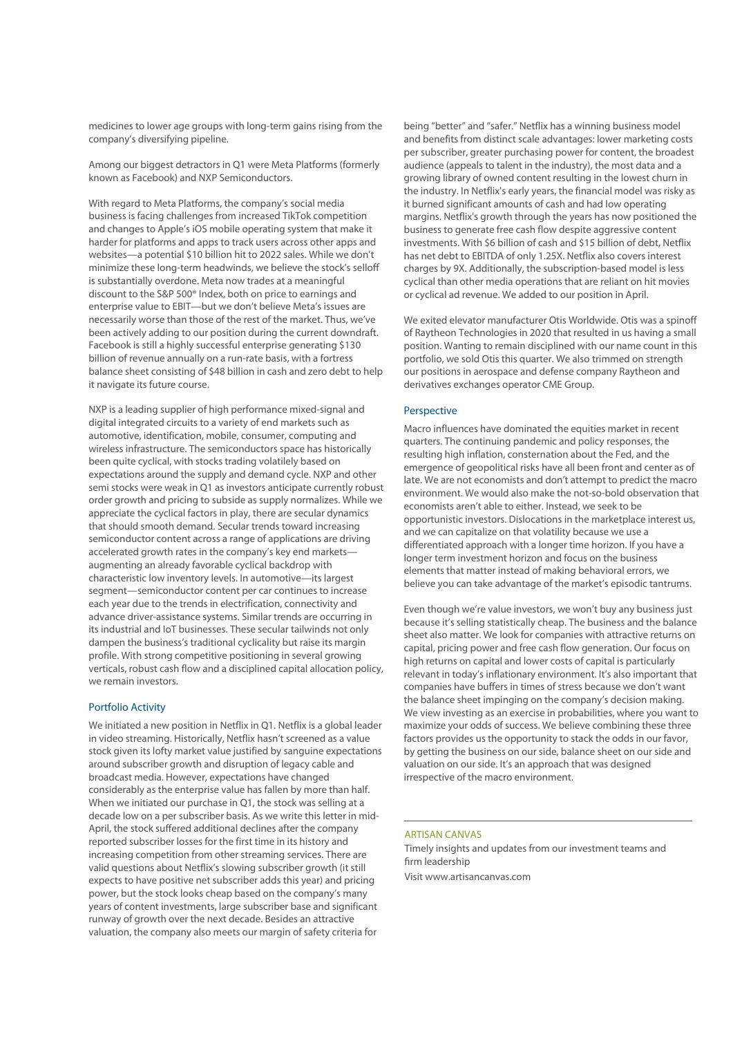medicines to lower age groups with long-term gains rising from the company's diversifying pipeline.

Among our biggest detractors in Q1 were Meta Platforms (formerly known as Facebook) and NXP Semiconductors.

With regard to Meta Platforms, the company's social media business is facing challenges from increased TikTok competition and changes to Apple's iOS mobile operating system that make it harder for platforms and apps to track users across other apps and websites—a potential \$10 billion hit to 2022 sales. While we don't minimize these long-term headwinds, we believe the stock's selloff is substantially overdone. Meta now trades at a meaningful discount to the S&P 500® Index, both on price to earnings and enterprise value to EBIT—but we don't believe Meta's issues are necessarily worse than those of the rest of the market. Thus, we've been actively adding to our position during the current downdraft. Facebook is still a highly successful enterprise generating \$130 billion of revenue annually on a run-rate basis, with a fortress balance sheet consisting of \$48 billion in cash and zero debt to help it navigate its future course.

NXP is a leading supplier of high performance mixed-signal and digital integrated circuits to a variety of end markets such as automotive, identification, mobile, consumer, computing and wireless infrastructure. The semiconductors space has historically been quite cyclical, with stocks trading volatilely based on expectations around the supply and demand cycle. NXP and other semi stocks were weak in Q1 as investors anticipate currently robust order growth and pricing to subside as supply normalizes. While we appreciate the cyclical factors in play, there are secular dynamics that should smooth demand. Secular trends toward increasing semiconductor content across a range of applications are driving accelerated growth rates in the company's key end markets augmenting an already favorable cyclical backdrop with characteristic low inventory levels. In automotive—its largest segment—semiconductor content per car continues to increase each year due to the trends in electrification, connectivity and advance driver-assistance systems. Similar trends are occurring in its industrial and IoT businesses. These secular tailwinds not only dampen the business's traditional cyclicality but raise its margin profile. With strong competitive positioning in several growing verticals, robust cash flow and a disciplined capital allocation policy, we remain investors.

## Portfolio Activity

We initiated a new position in Netflix in Q1. Netflix is a global leader in video streaming. Historically, Netflix hasn't screened as a value stock given its lofty market value justified by sanguine expectations around subscriber growth and disruption of legacy cable and broadcast media. However, expectations have changed considerably as the enterprise value has fallen by more than half. When we initiated our purchase in Q1, the stock was selling at a decade low on a per subscriber basis. As we write this letter in mid-April, the stock suffered additional declines after the company reported subscriber losses for the first time in its history and increasing competition from other streaming services. There are valid questions about Netflix's slowing subscriber growth (it still expects to have positive net subscriber adds this year) and pricing power, but the stock looks cheap based on the company's many years of content investments, large subscriber base and significant runway of growth over the next decade. Besides an attractive valuation, the company also meets our margin of safety criteria for

being "better" and "safer." Netflix has a winning business model and benefits from distinct scale advantages: lower marketing costs per subscriber, greater purchasing power for content, the broadest audience (appeals to talent in the industry), the most data and a growing library of owned content resulting in the lowest churn in the industry. In Netflix's early years, the financial model was risky as it burned significant amounts of cash and had low operating margins. Netflix's growth through the years has now positioned the business to generate free cash flow despite aggressive content investments. With \$6 billion of cash and \$15 billion of debt, Netflix has net debt to EBITDA of only 1.25X. Netflix also covers interest charges by 9X. Additionally, the subscription-based model is less cyclical than other media operations that are reliant on hit movies or cyclical ad revenue. We added to our position in April.

We exited elevator manufacturer Otis Worldwide. Otis was a spinoff of Raytheon Technologies in 2020 that resulted in us having a small position. Wanting to remain disciplined with our name count in this portfolio, we sold Otis this quarter. We also trimmed on strength our positions in aerospace and defense company Raytheon and derivatives exchanges operator CME Group.

# Perspective

Macro influences have dominated the equities market in recent quarters. The continuing pandemic and policy responses, the resulting high inflation, consternation about the Fed, and the emergence of geopolitical risks have all been front and center as of late. We are not economists and don't attempt to predict the macro environment. We would also make the not-so-bold observation that economists aren't able to either. Instead, we seek to be opportunistic investors. Dislocations in the marketplace interest us, and we can capitalize on that volatility because we use a differentiated approach with a longer time horizon. If you have a longer term investment horizon and focus on the business elements that matter instead of making behavioral errors, we believe you can take advantage of the market's episodic tantrums.

Even though we're value investors, we won't buy any business just because it's selling statistically cheap. The business and the balance sheet also matter. We look for companies with attractive returns on capital, pricing power and free cash flow generation. Our focus on high returns on capital and lower costs of capital is particularly relevant in today's inflationary environment. It's also important that companies have buffers in times of stress because we don't want the balance sheet impinging on the company's decision making. We view investing as an exercise in probabilities, where you want to maximize your odds of success. We believe combining these three factors provides us the opportunity to stack the odds in our favor, by getting the business on our side, balance sheet on our side and valuation on our side. It's an approach that was designed irrespective of the macro environment.

## ARTISAN CANVAS

Timely insights and updates from our investment teams and firm leadership Visit www.artisancanvas.com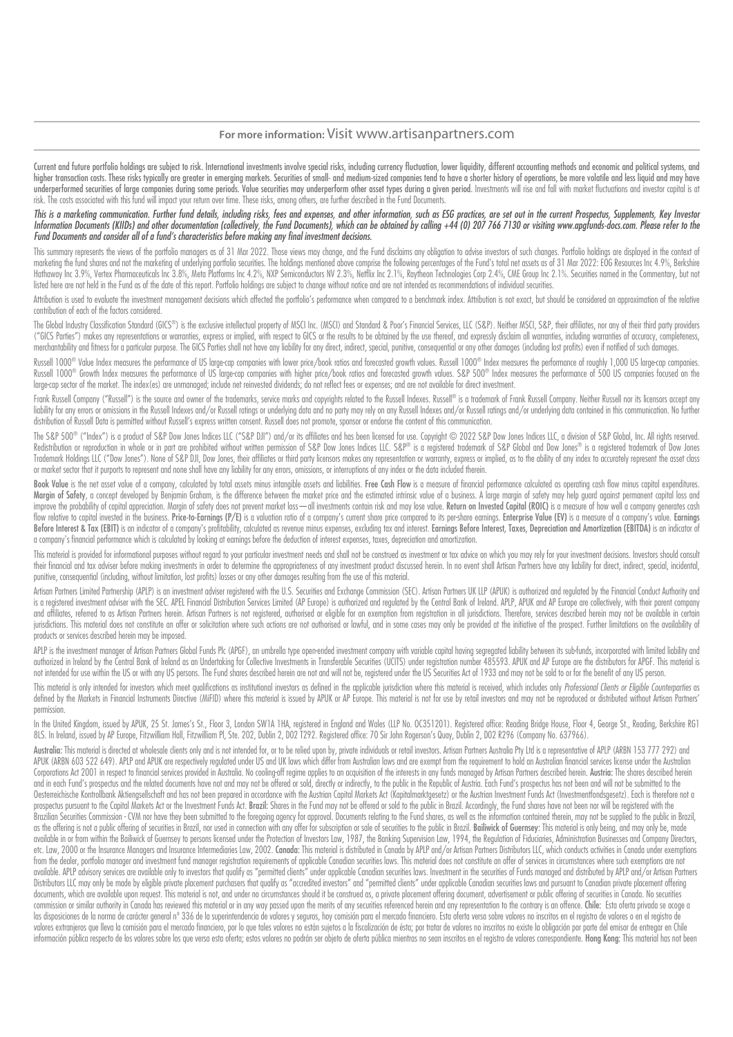# **For more information:** Visit www.artisanpartners.com

Current and future portfolio holdinas are subiect to risk. International investments involve special risks, includina currency fluctuation, lower liquidity, different accountina methods and economic and political systems, higher transaction costs. These risks typically are greater in emerging markets. Securities of small- and medium-sized companies tend to have a shorter history of operations, be more volatile and less liquid and may have underperformed securities of large companies during some periods. Value securities may underperform other asset types during a given period. Investments will rise and fall with market fluctuations and investor capital is a risk. The costs associated with this fund will impact your return over time. These risks, among others, are further described in the Fund Documents.

# This is a marketing communication. Further fund details, including risks, fees and expenses, and other information, such as ESG practices, are set out in the current Prospectus, Supplements, Key Investor Information Documents (KIIDs) and other documentation (collectively, the Fund Documents), which can be obtained by calling +44 (0) 207 766 7130 or visiting www.apgfunds-docs.com. Please refer to the Fund Documents and consider all of a fund's characteristics before making any final investment decisions.

This summary represents the views of the portfolio manggers as of 31 Mar 2022. Those views may change, and the Fund disclaims any obligation to advise investors of such changes. Portfolio holdings are displayed in the cont marketing the fund shares and not the marketing of underlying portfolio securities. The holdings mentioned above comprise the following percentages of the Fund's total net assets as of 31 Mar 2022: EOG Resources Inc 4.9%, Hathaway Inc 3.9%, Vertex Pharmaceuticals Inc 3.8%, Meta Platforms Inc 4.2%, NXP Semiconductors NV 2.3%, Netflix Inc 2.1%, Raytheon Technologies Corp 2.4%, CME Group Inc 2.1%. Securities named in the Commentary, but not listed here are not held in the Fund as of the date of this report. Portfolio holdings are subject to change without notice and are not intended as recommendations of individual securities.

Attribution is used to evaluate the investment management decisions which affected the portfolio's performance when compared to a benchmark index. Attribution is not exact, but should be considered an approximation of the contribution of each of the factors considered.

The Global Industry Classification Standard (GICS®) is the exclusive intellectual property of MSCI Inc. (MSCI) and Standard & Poor's Financial Services, LLC (S&P). Neither MSCI, S&P, their affiliates, nor any of their thir ("GICS Parties") makes any representations or warranties, express or implied, with respect to GICS or the results to be obtained by the use thereof, and expressly disclaim all warranties, including warranties of accuracy, merchantability and fitness for a particular purpose. The GICS Parties shall not have any liability for any direct, indirect, special, punitive, consequential or any other damages (including lost profits) even if notified

Russell 1000® Value Index measures the performance of US large-cap companies with lower price/book ratios and forecasted growth values. Russell 1000® Index measures the performance of roughly 1,000 US large-cap companies. Russell 1000® Growth Index measures the performance of US large-cap companies with higher price/book ratios and forecasted growth values. S&P 500® Index measures the performance of 500 US companies focused on the large-cap sector of the market. The index(es) are unmanaged; include net reinvested dividends; do not reflect fees or expenses; and are not available for direct investment.

Frank Russell Company ("Russell") is the source and owner of the trademarks, service marks and copyrights related to the Russell Indexes. Russell® is a trademark of Frank Russell Company. Neither Russell nor its licensors liability for any errors or omissions in the Russell Indexes and/or Russell ratings or underlying data and no party may rely on any Russell Indexes and/or Russell ratings and/or authing and for party may rely on any Russel distribution of Russell Data is permitted without Russell's express written consent. Russell does not promote, sponsor or endorse the content of this communication.

The S&P 500® ("Index") is a product of S&P Dow Jones Indices LLC ("S&P DJI") and/or its affiliates and has been licensed for use. Copyright © 2022 S&P Dow Jones Indices LLC, a division of S&P Global, Inc. All rights reserv Redistribution or reproduction in whole or in part are prohibited without written permission of S&P Dow Jones Indices LLC. S&P® is a registered trademark of S&P Global and Dow Jones® is a registered trademark of Dow Jones® Trademark Holdings LLC ("Dow Jones"). None of S&P DJJ, Dow Jones, their affiliates or third party licensors makes any representation or warranty, express or implied, as to the ability of any index to accurately represent t or market sector that it purports to represent and none shall have any liability for any errors, omissions, or interruptions of any index or the data included therein.

Book Value is the net asset value of a company, calculated by total assets minus intangible assets and liabilities. Free Cash Flow is a measure of financial performance calculated as operating cash flow minus capital expen Margin of Safety, a concept developed by Benjamin Graham, is the difference between the market price and the estimated intrinsic value of a business. A large margin of safety may help guard against permanent capital loss a improve the probability of capital appreciation. Margin of safety does not prevent market loss—all investments contain risk and may lose value. Return on Invested Capital (ROIC) is a measure of how well a company generates flow relative to capital invested in the business. Price-to-Earnings (P/E) is a valuation ratio of a company's current share price compared to its pershare earnings. Enterprise Value (EV) is a measure of a company's value. Before Interest & Tax (EBIT) is an indicator of a company's profitability, calculated as revenue minus expenses, excluding tax and interest. Earnings Before Interest, Taxes, Depreciation and Amortization (EBITDA) is an ind a company's financial performance which is calculated by looking at earnings before the deduction of interest expenses, taxes, depreciation and amortization.

This material is provided for informational nurroses without regard to your particular investment needs and shall not be construed as investment at tax advice on which you may rely for your investment decisions Investors s their financial and tax adviser before making investments in order to determine the appropriateness of any investment product discussed herein. In no event shall Artisan Partners have any liability for direct, indirect, sp punitive, consequential (including, without limitation, lost profits) losses or any other damages resulting from the use of this material.

Artisan Partners Limited Partnership (APLP) is an investment adviser registered with the U.S. Securities and Exchange Commission (SEC). Artisan Partners UK LLP (APUK) is authorized and regulated by the Financial Conduct Au is a registered investment adviser with the SEC. APEL Financial Distribution Services Limited (AP Europe) is authorized and regulated by the Central Bank of Ireland. APLP, APUK and AP Europe are collectively, with their pa and affiliates, referred to as Artisan Partners herein. Artisan Partners is not registered, authorised or eligible for an exemption from registration in all jurisdictions. Therefore, services described herein may not be av jurisdictions. This material does not constitute an offer or solicitation where such actions are not authorised or lawful, and in some cases may only be provided at the initiative of the prospect. Further limitations on th products or services described herein may be imposed.

APLP is the investment manager of Artisan Partners Global Funds PIc (APGF), an umbrella type open-ended investment company with variable capital having segregated liability between its sub-funds, incorporated with limited outhorized in Ireland by the Central Bank of Ireland as an Undertaking for Collective Investments in Transferable Securities (UCITS) under registration number 485593. APUK and AP Europe are the distributors for APGF. This not intended for use within the US or with any US persons. The Fund shares described herein are not and will not be, registered under the US Securities Act of 1933 and may not be sold to or for the benefit of any US person

This material is only intended for investors which meet qualifications as institutional investors as defined in the applicable jurisdiction where this material is received, which includes only Professional Clients or Eligi defined by the Markets in Financial Instruments Directive (MiFID) where this material is issued by APUK or AP Europe. This material is not for use by retail investors and may not be reproduced or distributed without Artisa permission.

In the United Kinadom, issued by APUK, 25 St. James's St., Floor 3, London SW1A 1HA, registered in England and Wales (LLP No. OC351201). Registered office: Reading Bridge House, Floor 4, George St., Reading, Berkshire RG1 8LS. In Ireland, issued by AP Europe, Fitzwilliam Hall, Fitzwilliam Pl, Ste. 202, Dublin 2, D02 T292. Registered office: 70 Sir John Rogerson's Quay, Dublin 2, D02 R296 (Company No. 637966).

Australia: This material is directed at wholesale clients only and is not intended for, or to be relied upon by, private individuals or retail investors. Artisan Partners Australia Pty Ltd is a representative of APLP (ARBN APLP and APUK are respectively regulated under US and UK lows which differ from Australian lows and are exempt from the requirement to hold an Australian financial services license under the heurtesine property in the cont Corporations Act 2001 in respect to financial services provided in Australia. No cooling off regime applies to an acquisition of the interests in any funds managed by Artisan Partners described herein. Austria: The shares and in each Fund's prospectus and the related documents have not and may not be offered or sold, directly or indirectly, to the public in the Republic of Austria. Each Fund's prospectus has not been and will not be submitt Oesterreichische Kontrollbank Aktienasellschaft and has not been prepared in accordance with the Austrian Capital Markets Act (Kapitalmarktaesetz) or the Austrian Investment Funds Act (Investmentfondsaesetz). Each is there prospectus pursuant to the Capital Markets Act or the Investment Funds Act. Brazil: Shares in the Fund may not be offered or sold to the public in Brazil. Accordinaly, the Fund shares have not been nor will be registered w .<br>Brazilian Securities Commission - CVM nor have they been submitted to the foregoing gaency for approval. Documents relating to the Fund shares, as well as the information contained therein, may not be supplied to the pub as the offering is not a public offering of securities in Brazil, nor used in connection with any offer for subscription or sale of securities to the public in Brazil. Baillwick of Guernsey: This material is only being, an available in or from within the Bailiwick of Guernsey to persons licensed under the Protection of Investors Law, 1987, the Banking Supervision Law, 1994, the Regulation of Fiduciaries, Administration Businesses and Company etc. Law, 2000 or the Insurance Managers and Insurance Intermediaries Law, 2002. Canada: This material is distributed in Canada by APLP and/or Artisan Partners Distributors LLC, which conducts activities in Canada under ex from the dealer, portfolio manager and investment fund manager registration requirements of applicable Canadian securities laws. This material does not constitute an offer of services in circumstances where such exemptions allahle APIP advisory services are available only to investors that public as "permitted clients" under applicable Conadian serurities laws Investment in the securities of Funds managed and distributed by APIP and /or Arti Distributors LLC may only be made by eligible private placement purchasers that qualify as "accredited investors" and "permitted clients" under applicable Canadian securities laws and pursuant to Canadian private placement documents, which are available upon request. This material is not, and under no circumstances should it be construed as, a private placement offering document, advertisement or public offering of securities in Canada. No s commission or similar authority in Canada has reviewed this material or in any way passed upon the merits of any securities referenced herein and any representation to the contrary is an offence. Chile: Esta oferta privada las disposiciones de la norma de carácter general nº 336 de la superintendencia de valores y seguros, hoy comisión para el mercado financiero. Esta oferta versa sobre valores valores no inscritos en el registro de valores volves extraoners que lleva la comisión para el mercado financiero, por la que tales valores no están sujetos a la fiscalización de ésta: por tratar de valores no inscritos no existe la obligación para altre del emisor de información pública respecto de los valores sobre los que versa esta oferta; estos valores no podrán ser objeto de oferta pública mientras no sean inscritos en el registro de valores correspondiente. Hong Kong: This materi